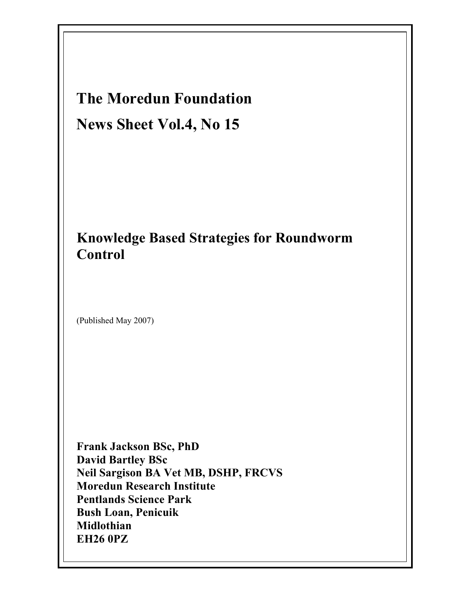# The Moredun Foundation News Sheet Vol.4, No 15

# Knowledge Based Strategies for Roundworm Control

(Published May 2007)

Frank Jackson BSc, PhD David Bartley BSc Neil Sargison BA Vet MB, DSHP, FRCVS Moredun Research Institute Pentlands Science Park Bush Loan, Penicuik Midlothian EH26 0PZ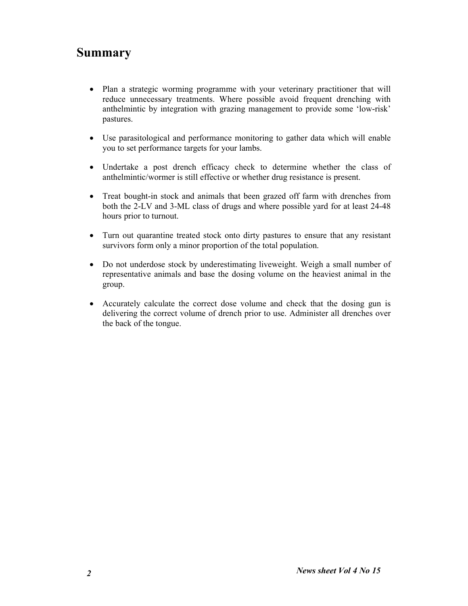# Summary

- Plan a strategic worming programme with your veterinary practitioner that will reduce unnecessary treatments. Where possible avoid frequent drenching with anthelmintic by integration with grazing management to provide some 'low-risk' pastures.
- Use parasitological and performance monitoring to gather data which will enable you to set performance targets for your lambs.
- Undertake a post drench efficacy check to determine whether the class of anthelmintic/wormer is still effective or whether drug resistance is present.
- Treat bought-in stock and animals that been grazed off farm with drenches from both the 2-LV and 3-ML class of drugs and where possible yard for at least 24-48 hours prior to turnout.
- Turn out quarantine treated stock onto dirty pastures to ensure that any resistant survivors form only a minor proportion of the total population.
- Do not underdose stock by underestimating liveweight. Weigh a small number of representative animals and base the dosing volume on the heaviest animal in the group.
- Accurately calculate the correct dose volume and check that the dosing gun is delivering the correct volume of drench prior to use. Administer all drenches over the back of the tongue.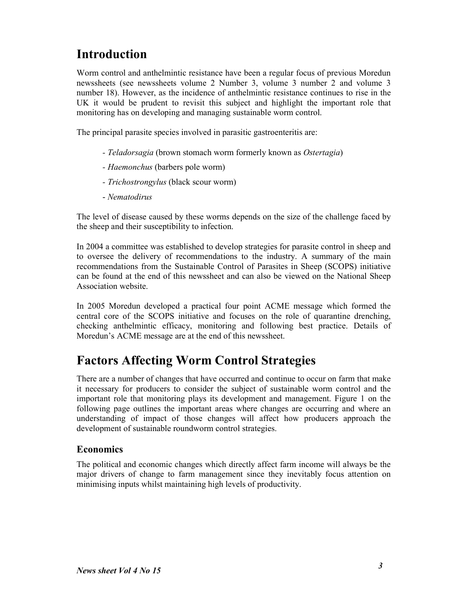# Introduction

Worm control and anthelmintic resistance have been a regular focus of previous Moredun newssheets (see newssheets volume 2 Number 3, volume 3 number 2 and volume 3 number 18). However, as the incidence of anthelmintic resistance continues to rise in the UK it would be prudent to revisit this subject and highlight the important role that monitoring has on developing and managing sustainable worm control.

The principal parasite species involved in parasitic gastroenteritis are:

- Teladorsagia (brown stomach worm formerly known as Ostertagia)
- Haemonchus (barbers pole worm)
- Trichostrongylus (black scour worm)
- Nematodirus

The level of disease caused by these worms depends on the size of the challenge faced by the sheep and their susceptibility to infection.

In 2004 a committee was established to develop strategies for parasite control in sheep and to oversee the delivery of recommendations to the industry. A summary of the main recommendations from the Sustainable Control of Parasites in Sheep (SCOPS) initiative can be found at the end of this newssheet and can also be viewed on the National Sheep Association website.

In 2005 Moredun developed a practical four point ACME message which formed the central core of the SCOPS initiative and focuses on the role of quarantine drenching, checking anthelmintic efficacy, monitoring and following best practice. Details of Moredun's ACME message are at the end of this newssheet.

# Factors Affecting Worm Control Strategies

There are a number of changes that have occurred and continue to occur on farm that make it necessary for producers to consider the subject of sustainable worm control and the important role that monitoring plays its development and management. Figure 1 on the following page outlines the important areas where changes are occurring and where an understanding of impact of those changes will affect how producers approach the development of sustainable roundworm control strategies.

#### Economics

The political and economic changes which directly affect farm income will always be the major drivers of change to farm management since they inevitably focus attention on minimising inputs whilst maintaining high levels of productivity.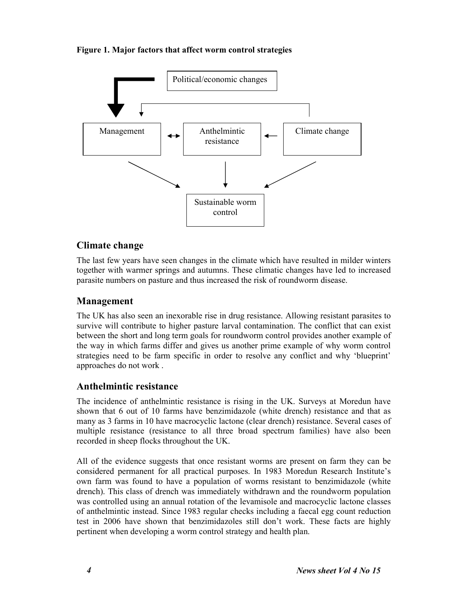#### Figure 1. Major factors that affect worm control strategies



#### Climate change

The last few years have seen changes in the climate which have resulted in milder winters together with warmer springs and autumns. These climatic changes have led to increased parasite numbers on pasture and thus increased the risk of roundworm disease.

#### Management

The UK has also seen an inexorable rise in drug resistance. Allowing resistant parasites to survive will contribute to higher pasture larval contamination. The conflict that can exist between the short and long term goals for roundworm control provides another example of the way in which farms differ and gives us another prime example of why worm control strategies need to be farm specific in order to resolve any conflict and why 'blueprint' approaches do not work .

#### Anthelmintic resistance

The incidence of anthelmintic resistance is rising in the UK. Surveys at Moredun have shown that 6 out of 10 farms have benzimidazole (white drench) resistance and that as many as 3 farms in 10 have macrocyclic lactone (clear drench) resistance. Several cases of multiple resistance (resistance to all three broad spectrum families) have also been recorded in sheep flocks throughout the UK.

All of the evidence suggests that once resistant worms are present on farm they can be considered permanent for all practical purposes. In 1983 Moredun Research Institute's own farm was found to have a population of worms resistant to benzimidazole (white drench). This class of drench was immediately withdrawn and the roundworm population was controlled using an annual rotation of the levamisole and macrocyclic lactone classes of anthelmintic instead. Since 1983 regular checks including a faecal egg count reduction test in 2006 have shown that benzimidazoles still don't work. These facts are highly pertinent when developing a worm control strategy and health plan.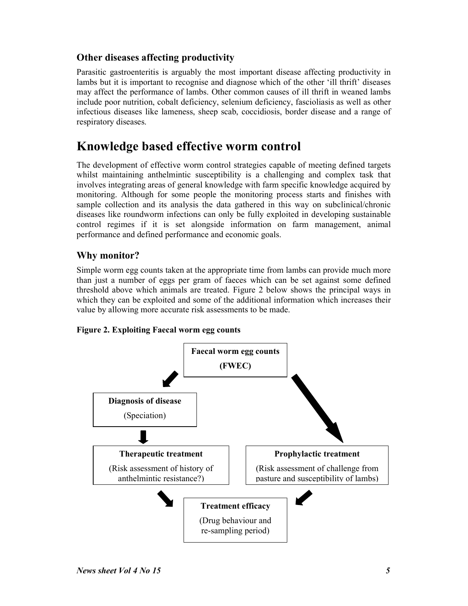#### Other diseases affecting productivity

Parasitic gastroenteritis is arguably the most important disease affecting productivity in lambs but it is important to recognise and diagnose which of the other 'ill thrift' diseases may affect the performance of lambs. Other common causes of ill thrift in weaned lambs include poor nutrition, cobalt deficiency, selenium deficiency, fascioliasis as well as other infectious diseases like lameness, sheep scab, coccidiosis, border disease and a range of respiratory diseases.

### Knowledge based effective worm control

The development of effective worm control strategies capable of meeting defined targets whilst maintaining anthelmintic susceptibility is a challenging and complex task that involves integrating areas of general knowledge with farm specific knowledge acquired by monitoring. Although for some people the monitoring process starts and finishes with sample collection and its analysis the data gathered in this way on subclinical/chronic diseases like roundworm infections can only be fully exploited in developing sustainable control regimes if it is set alongside information on farm management, animal performance and defined performance and economic goals.

#### Why monitor?

Simple worm egg counts taken at the appropriate time from lambs can provide much more than just a number of eggs per gram of faeces which can be set against some defined threshold above which animals are treated. Figure 2 below shows the principal ways in which they can be exploited and some of the additional information which increases their value by allowing more accurate risk assessments to be made.

#### Figure 2. Exploiting Faecal worm egg counts

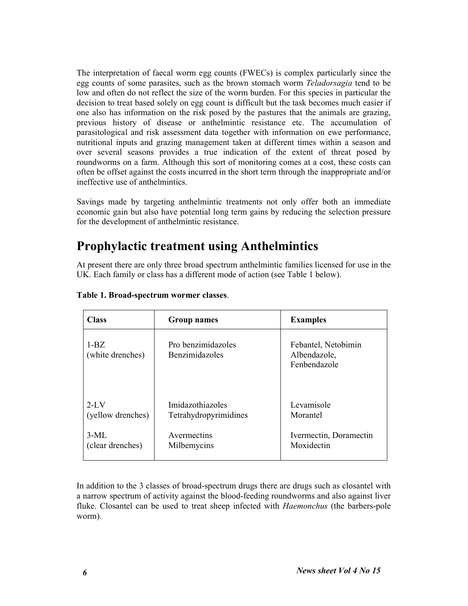The interpretation of faecal worm egg counts (FWECs) is complex particularly since the egg counts of some parasites, such as the brown stomach worm Teladorsagia tend to be low and often do not reflect the size of the worm burden. For this species in particular the decision to treat based solely on egg count is difficult but the task becomes much easier if one also has information on the risk posed by the pastures that the animals are grazing, previous history of disease or anthelmintic resistance etc. The accumulation of parasitological and risk assessment data together with information on ewe performance, nutritional inputs and grazing management taken at different times within a season and over several seasons provides a true indication of the extent of threat posed by roundworms on a farm. Although this sort of monitoring comes at a cost, these costs can often be offset against the costs incurred in the short term through the inappropriate and/or ineffective use of anthelmintics.

Savings made by targeting anthelmintic treatments not only offer both an immediate economic gain but also have potential long term gains by reducing the selection pressure for the development of anthelmintic resistance.

## Prophylactic treatment using Anthelmintics

At present there are only three broad spectrum anthelmintic families licensed for use in the UK. Each family or class has a different mode of action (see Table 1 below).

| <b>Class</b>               | <b>Group names</b>                   | <b>Examples</b>                                     |
|----------------------------|--------------------------------------|-----------------------------------------------------|
| $1-BZ$<br>(white drenches) | Pro benzimidazoles<br>Benzimidazoles | Febantel, Netobimin<br>Albendazole,<br>Fenbendazole |
| $2-I.V$                    | Imidazothiazoles                     | Levamisole                                          |
| (yellow drenches)          | Tetrahydropyrimidines                | Morantel                                            |
| $3-ML$                     | Avermectins                          | Ivermectin, Doramectin                              |
| (clear drenches)           | Milbemycins                          | Moxidectin                                          |

#### Table 1. Broad-spectrum wormer classes.

In addition to the 3 classes of broad-spectrum drugs there are drugs such as closantel with a narrow spectrum of activity against the blood-feeding roundworms and also against liver fluke. Closantel can be used to treat sheep infected with *Haemonchus* (the barbers-pole worm).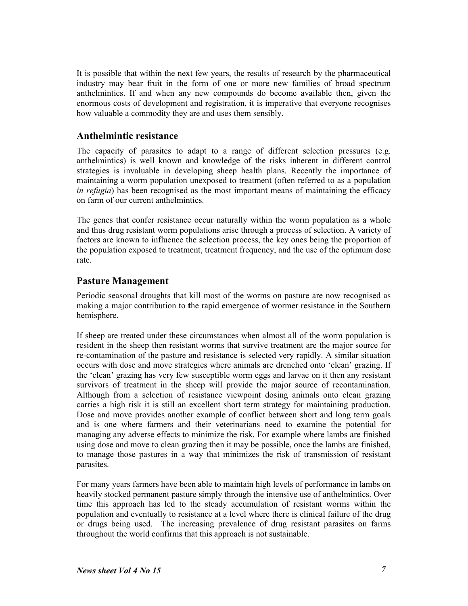It is possible that within the next few years, the results of research by the pharmaceutical industry may bear fruit in the form of one or more new families of broad spectrum anthelmintics. If and when any new compounds do become available then, given the enormous costs of development and registration, it is imperative that everyone recognises how valuable a commodity they are and uses them sensibly.

#### Anthelmintic resistance

The capacity of parasites to adapt to a range of different selection pressures (e.g. anthelmintics) is well known and knowledge of the risks inherent in different control strategies is invaluable in developing sheep health plans. Recently the importance of maintaining a worm population unexposed to treatment (often referred to as a population in  $refugia$ ) has been recognised as the most important means of maintaining the efficacy on farm of our current anthelmintics.

The genes that confer resistance occur naturally within the worm population as a whole and thus drug resistant worm populations arise through a process of selection. A variety of factors are known to influence the selection process, the key ones being the proportion of the population exposed to treatment, treatment frequency, and the use of the optimum dose rate.

#### Pasture Management

Periodic seasonal droughts that kill most of the worms on pasture are now recognised as making a major contribution to the rapid emergence of wormer resistance in the Southern hemisphere.

If sheep are treated under these circumstances when almost all of the worm population is resident in the sheep then resistant worms that survive treatment are the major source for re-contamination of the pasture and resistance is selected very rapidly. A similar situation occurs with dose and move strategies where animals are drenched onto 'clean' grazing. If the 'clean' grazing has very few susceptible worm eggs and larvae on it then any resistant survivors of treatment in the sheep will provide the major source of recontamination. Although from a selection of resistance viewpoint dosing animals onto clean grazing carries a high risk it is still an excellent short term strategy for maintaining production. Dose and move provides another example of conflict between short and long term goals and is one where farmers and their veterinarians need to examine the potential for managing any adverse effects to minimize the risk. For example where lambs are finished using dose and move to clean grazing then it may be possible, once the lambs are finished, to manage those pastures in a way that minimizes the risk of transmission of resistant parasites.

For many years farmers have been able to maintain high levels of performance in lambs on heavily stocked permanent pasture simply through the intensive use of anthelmintics. Over time this approach has led to the steady accumulation of resistant worms within the population and eventually to resistance at a level where there is clinical failure of the drug or drugs being used. The increasing prevalence of drug resistant parasites on farms throughout the world confirms that this approach is not sustainable.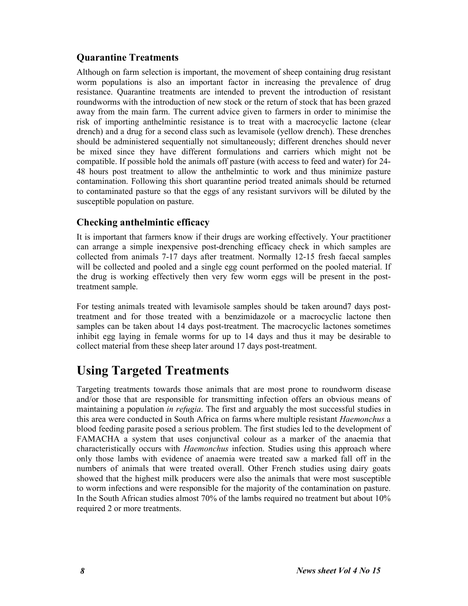#### Quarantine Treatments

Although on farm selection is important, the movement of sheep containing drug resistant worm populations is also an important factor in increasing the prevalence of drug resistance. Quarantine treatments are intended to prevent the introduction of resistant roundworms with the introduction of new stock or the return of stock that has been grazed away from the main farm. The current advice given to farmers in order to minimise the risk of importing anthelmintic resistance is to treat with a macrocyclic lactone (clear drench) and a drug for a second class such as levamisole (yellow drench). These drenches should be administered sequentially not simultaneously; different drenches should never be mixed since they have different formulations and carriers which might not be compatible. If possible hold the animals off pasture (with access to feed and water) for 24- 48 hours post treatment to allow the anthelmintic to work and thus minimize pasture contamination. Following this short quarantine period treated animals should be returned to contaminated pasture so that the eggs of any resistant survivors will be diluted by the susceptible population on pasture.

#### Checking anthelmintic efficacy

It is important that farmers know if their drugs are working effectively. Your practitioner can arrange a simple inexpensive post-drenching efficacy check in which samples are collected from animals 7-17 days after treatment. Normally 12-15 fresh faecal samples will be collected and pooled and a single egg count performed on the pooled material. If the drug is working effectively then very few worm eggs will be present in the posttreatment sample.

For testing animals treated with levamisole samples should be taken around7 days posttreatment and for those treated with a benzimidazole or a macrocyclic lactone then samples can be taken about 14 days post-treatment. The macrocyclic lactones sometimes inhibit egg laying in female worms for up to 14 days and thus it may be desirable to collect material from these sheep later around 17 days post-treatment.

### Using Targeted Treatments

Targeting treatments towards those animals that are most prone to roundworm disease and/or those that are responsible for transmitting infection offers an obvious means of maintaining a population *in refugia*. The first and arguably the most successful studies in this area were conducted in South Africa on farms where multiple resistant Haemonchus a blood feeding parasite posed a serious problem. The first studies led to the development of FAMACHA a system that uses conjunctival colour as a marker of the anaemia that characteristically occurs with *Haemonchus* infection. Studies using this approach where only those lambs with evidence of anaemia were treated saw a marked fall off in the numbers of animals that were treated overall. Other French studies using dairy goats showed that the highest milk producers were also the animals that were most susceptible to worm infections and were responsible for the majority of the contamination on pasture. In the South African studies almost 70% of the lambs required no treatment but about 10% required 2 or more treatments.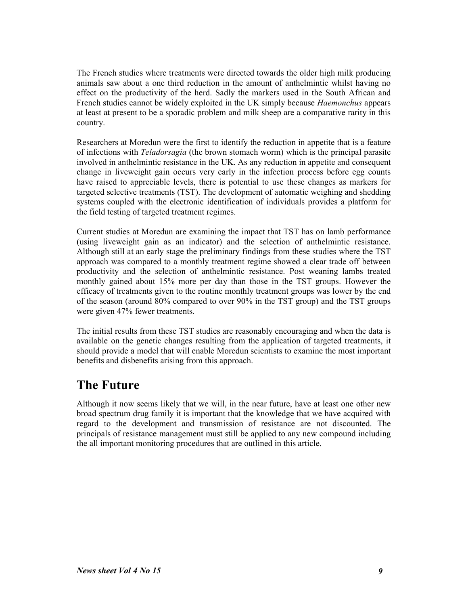The French studies where treatments were directed towards the older high milk producing animals saw about a one third reduction in the amount of anthelmintic whilst having no effect on the productivity of the herd. Sadly the markers used in the South African and French studies cannot be widely exploited in the UK simply because Haemonchus appears at least at present to be a sporadic problem and milk sheep are a comparative rarity in this country.

Researchers at Moredun were the first to identify the reduction in appetite that is a feature of infections with Teladorsagia (the brown stomach worm) which is the principal parasite involved in anthelmintic resistance in the UK. As any reduction in appetite and consequent change in liveweight gain occurs very early in the infection process before egg counts have raised to appreciable levels, there is potential to use these changes as markers for targeted selective treatments (TST). The development of automatic weighing and shedding systems coupled with the electronic identification of individuals provides a platform for the field testing of targeted treatment regimes.

Current studies at Moredun are examining the impact that TST has on lamb performance (using liveweight gain as an indicator) and the selection of anthelmintic resistance. Although still at an early stage the preliminary findings from these studies where the TST approach was compared to a monthly treatment regime showed a clear trade off between productivity and the selection of anthelmintic resistance. Post weaning lambs treated monthly gained about 15% more per day than those in the TST groups. However the efficacy of treatments given to the routine monthly treatment groups was lower by the end of the season (around 80% compared to over 90% in the TST group) and the TST groups were given 47% fewer treatments.

The initial results from these TST studies are reasonably encouraging and when the data is available on the genetic changes resulting from the application of targeted treatments, it should provide a model that will enable Moredun scientists to examine the most important benefits and disbenefits arising from this approach.

### The Future

Although it now seems likely that we will, in the near future, have at least one other new broad spectrum drug family it is important that the knowledge that we have acquired with regard to the development and transmission of resistance are not discounted. The principals of resistance management must still be applied to any new compound including the all important monitoring procedures that are outlined in this article.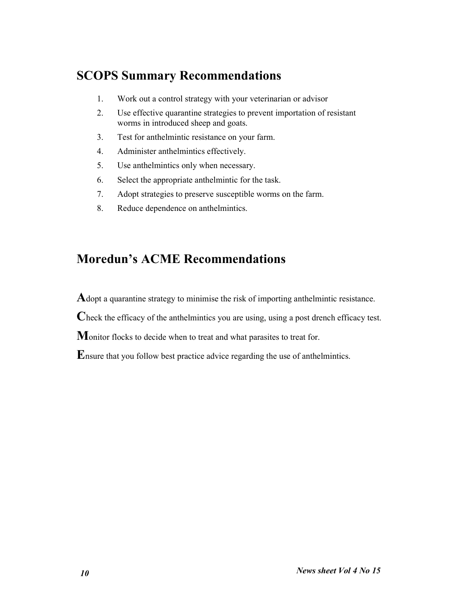# SCOPS Summary Recommendations

- 1. Work out a control strategy with your veterinarian or advisor
- 2. Use effective quarantine strategies to prevent importation of resistant worms in introduced sheep and goats.
- 3. Test for anthelmintic resistance on your farm.
- 4. Administer anthelmintics effectively.
- 5. Use anthelmintics only when necessary.
- 6. Select the appropriate anthelmintic for the task.
- 7. Adopt strategies to preserve susceptible worms on the farm.
- 8. Reduce dependence on anthelmintics.

## Moredun's ACME Recommendations

Adopt a quarantine strategy to minimise the risk of importing anthelmintic resistance.

Check the efficacy of the anthelmintics you are using, using a post drench efficacy test.

Monitor flocks to decide when to treat and what parasites to treat for.

Ensure that you follow best practice advice regarding the use of anthelmintics.